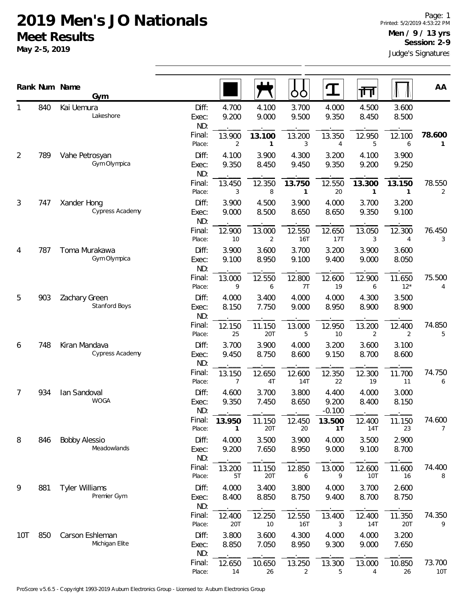|                |     | Rank Num Name<br>Gym                 |                       |                |                          | OO                   | T                          | 襾              |                 | AA            |
|----------------|-----|--------------------------------------|-----------------------|----------------|--------------------------|----------------------|----------------------------|----------------|-----------------|---------------|
| 1              | 840 | Kai Uemura<br>Lakeshore              | Diff:<br>Exec:<br>ND: | 4.700<br>9.200 | 4.100<br>9.000           | 3.700<br>9.500       | 4.000<br>9.350             | 4.500<br>8.450 | 3.600<br>8.500  |               |
|                |     |                                      | Final:<br>Place:      | 13.900<br>2    | 13.100<br>1              | 13.200<br>3          | 13.350<br>4                | 12.950<br>5    | 12.100<br>6     | 78.600<br>1   |
| $\overline{2}$ | 789 | Vahe Petrosyan<br>Gym Olympica       | Diff:<br>Exec:<br>ND: | 4.100<br>9.350 | 3.900<br>8.450           | 4.300<br>9.450       | 3.200<br>9.350             | 4.100<br>9.200 | 3.900<br>9.250  |               |
|                |     |                                      | Final:<br>Place:      | 13.450<br>3    | 12.350<br>8              | 13.750<br>1          | 12.550<br>20               | 13.300<br>1    | 13.150<br>1     | 78.550<br>2   |
| 3              | 747 | Xander Hong<br>Cypress Academy       | Diff:<br>Exec:<br>ND: | 3.900<br>9.000 | 4.500<br>8.500           | 3.900<br>8.650       | 4.000<br>8.650             | 3.700<br>9.350 | 3.200<br>9.100  |               |
|                |     |                                      | Final:<br>Place:      | 12.900<br>10   | 13.000<br>$\overline{2}$ | 12.550<br><b>16T</b> | 12.650<br>17T              | 13.050<br>3    | 12.300<br>4     | 76.450<br>3   |
| 4              | 787 | Toma Murakawa<br>Gym Olympica        | Diff:<br>Exec:<br>ND: | 3.900<br>9.100 | 3.600<br>8.950           | 3.700<br>9.100       | 3.200<br>9.400             | 3.900<br>9.000 | 3.600<br>8.050  |               |
|                |     |                                      | Final:<br>Place:      | 13.000<br>9    | 12.550<br>6              | 12.800<br>7T         | 12.600<br>19               | 12.900<br>6    | 11.650<br>$12*$ | 75.500<br>4   |
| 5              | 903 | Zachary Green<br>Stanford Boys       | Diff:<br>Exec:<br>ND: | 4.000<br>8.150 | 3.400<br>7.750           | 4.000<br>9.000       | 4.000<br>8.950             | 4.300<br>8.900 | 3.500<br>8.900  |               |
|                |     |                                      | Final:<br>Place:      | 12.150<br>25   | 11.150<br>20T            | 13.000<br>5          | 12.950<br>10               | 13.200<br>2    | 12.400<br>2     | 74.850<br>5   |
| 6              | 748 | Kiran Mandava<br>Cypress Academy     | Diff:<br>Exec:<br>ND: | 3.700<br>9.450 | 3.900<br>8.750           | 4.000<br>8.600       | 3.200<br>9.150             | 3.600<br>8.700 | 3.100<br>8.600  |               |
|                |     |                                      | Final:<br>Place:      | 13.150<br>7    | 12.650<br>4T             | 12.600<br>14T        | 12.350<br>22               | 12.300<br>19   | 11.700<br>11    | 74.750<br>6   |
| $\overline{7}$ | 934 | Ian Sandoval<br><b>WOGA</b>          | Diff:<br>Exec:<br>ND: | 4.600<br>9.350 | 3.700<br>7.450           | 3.800<br>8.650       | 4.400<br>9.200<br>$-0.100$ | 4.000<br>8.400 | 3.000<br>8.150  |               |
|                |     |                                      | Final:<br>Place:      | 13.950<br>1    | 11.150<br>20T            | 12.450<br>20         | 13.500<br>1T               | 12.400<br>14T  | 11.150<br>23    | 74.600<br>7   |
| 8              | 846 | <b>Bobby Alessio</b><br>Meadowlands  | Diff:<br>Exec:<br>ND: | 4.000<br>9.200 | 3.500<br>7.650           | 3.900<br>8.950       | 4.000<br>9.000             | 3.500<br>9.100 | 2.900<br>8.700  |               |
|                |     |                                      | Final:<br>Place:      | 13.200<br>5T   | 11.150<br>20T            | 12.850<br>6          | 13.000<br>9                | 12.600<br>10T  | 11.600<br>16    | 74.400<br>8   |
| 9              | 881 | <b>Tyler Williams</b><br>Premier Gym | Diff:<br>Exec:<br>ND: | 4.000<br>8.400 | 3.400<br>8.850           | 3.800<br>8.750       | 4.000<br>9.400             | 3.700<br>8.700 | 2.600<br>8.750  |               |
|                |     |                                      | Final:<br>Place:      | 12.400<br>20T  | 12.250<br>10             | 12.550<br>16T        | 13.400<br>3                | 12.400<br>14T  | 11.350<br>20T   | 74.350<br>9   |
| 10T            | 850 | Carson Eshleman<br>Michigan Elite    | Diff:<br>Exec:<br>ND: | 3.800<br>8.850 | 3.600<br>7.050           | 4.300<br>8.950       | 4.000<br>9.300             | 4.000<br>9.000 | 3.200<br>7.650  |               |
|                |     |                                      | Final:<br>Place:      | 12.650<br>14   | 10.650<br>26             | 13.250<br>2          | 13.300<br>5                | 13.000<br>4    | 10.850<br>26    | 73.700<br>10T |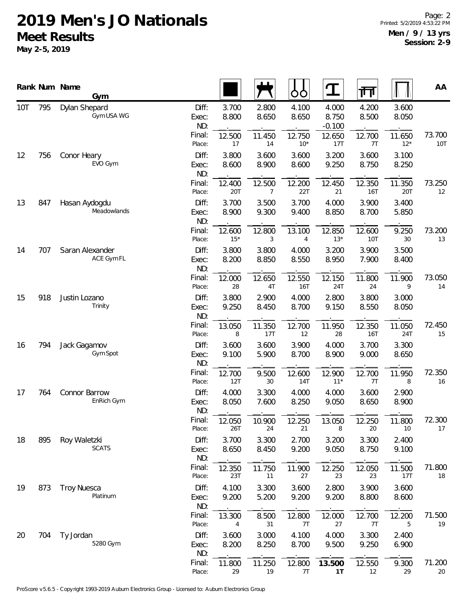|            |     | Rank Num Name<br>Gym           |                       |                 |                | ŌŌ              | $\mathbf T$                | गि             |                      | AA            |
|------------|-----|--------------------------------|-----------------------|-----------------|----------------|-----------------|----------------------------|----------------|----------------------|---------------|
| <b>10T</b> | 795 | Dylan Shepard<br>Gym USA WG    | Diff:<br>Exec:<br>ND: | 3.700<br>8.800  | 2.800<br>8.650 | 4.100<br>8.650  | 4.000<br>8.750<br>$-0.100$ | 4.200<br>8.500 | 3.600<br>8.050       |               |
|            |     |                                | Final:<br>Place:      | 12.500<br>17    | 11.450<br>14   | 12.750<br>$10*$ | 12.650<br>17T              | 12.700<br>7T   | 11.650<br>$12*$      | 73.700<br>10T |
| 12         | 756 | Conor Heary<br>EVO Gym         | Diff:<br>Exec:<br>ND: | 3.800<br>8.600  | 3.600<br>8.900 | 3.600<br>8.600  | 3.200<br>9.250             | 3.600<br>8.750 | 3.100<br>8.250       |               |
|            |     |                                | Final:<br>Place:      | 12.400<br>20T   | 12.500<br>7    | 12.200<br>22T   | 12.450<br>21               | 12.350<br>16T  | 11.350<br>20T        | 73.250<br>12  |
| 13         | 847 | Hasan Aydogdu<br>Meadowlands   | Diff:<br>Exec:<br>ND: | 3.700<br>8.900  | 3.500<br>9.300 | 3.700<br>9.400  | 4.000<br>8.850             | 3.900<br>8.700 | 3.400<br>5.850       |               |
|            |     |                                | Final:<br>Place:      | 12.600<br>$15*$ | 12.800<br>3    | 13.100<br>4     | 12.850<br>$13*$            | 12.600<br>10T  | 9.250<br>30          | 73.200<br>13  |
| 14         | 707 | Saran Alexander<br>ACE Gym FL  | Diff:<br>Exec:<br>ND: | 3.800<br>8.200  | 3.800<br>8.850 | 4.000<br>8.550  | 3.200<br>8.950             | 3.900<br>7.900 | 3.500<br>8.400       |               |
|            |     |                                | Final:<br>Place:      | 12.000<br>28    | 12.650<br>4T   | 12.550<br>16T   | 12.150<br>24T              | 11.800<br>24   | 11.900<br>9          | 73.050<br>14  |
| 15         | 918 | Justin Lozano<br>Trinity       | Diff:<br>Exec:<br>ND: | 3.800<br>9.250  | 2.900<br>8.450 | 4.000<br>8.700  | 2.800<br>9.150             | 3.800<br>8.550 | 3.000<br>8.050       |               |
|            |     |                                | Final:<br>Place:      | 13.050<br>8     | 11.350<br>17T  | 12.700<br>12    | 11.950<br>28               | 12.350<br>16T  | 11.050<br><b>24T</b> | 72.450<br>15  |
| 16         | 794 | Jack Gagamov<br>Gym Spot       | Diff:<br>Exec:<br>ND: | 3.600<br>9.100  | 3.600<br>5.900 | 3.900<br>8.700  | 4.000<br>8.900             | 3.700<br>9.000 | 3.300<br>8.650       |               |
|            |     |                                | Final:<br>Place:      | 12.700<br>12T   | 9.500<br>30    | 12.600<br>14T   | 12.900<br>$11*$            | 12.700<br>7T   | 11.950<br>8          | 72.350<br>16  |
| 17         | 764 | Connor Barrow<br>EnRich Gym    | Diff:<br>Exec:<br>ND: | 4.000<br>8.050  | 3.300<br>7.600 | 4.000<br>8.250  | 4.000<br>9.050             | 3.600<br>8.650 | 2.900<br>8.900       |               |
|            |     |                                | Final:<br>Place:      | 12.050<br>26T   | 10.900<br>24   | 12.250<br>21    | 13.050<br>8                | 12.250<br>20   | 11.800<br>10         | 72.300<br>17  |
| 18         | 895 | Roy Waletzki<br><b>SCATS</b>   | Diff:<br>Exec:<br>ND: | 3.700<br>8.650  | 3.300<br>8.450 | 2.700<br>9.200  | 3.200<br>9.050             | 3.300<br>8.750 | 2.400<br>9.100       |               |
|            |     |                                | Final:<br>Place:      | 12.350<br>23T   | 11.750<br>11   | 11.900<br>27    | 12.250<br>23               | 12.050<br>23   | 11.500<br>17T        | 71.800<br>18  |
| 19         | 873 | <b>Troy Nuesca</b><br>Platinum | Diff:<br>Exec:<br>ND: | 4.100<br>9.200  | 3.300<br>5.200 | 3.600<br>9.200  | 2.800<br>9.200             | 3.900<br>8.800 | 3.600<br>8.600       |               |
|            |     |                                | Final:<br>Place:      | 13.300<br>4     | 8.500<br>31    | 12.800<br>7T    | 12.000<br>27               | 12.700<br>7T   | 12.200<br>5          | 71.500<br>19  |
| 20         | 704 | Ty Jordan<br>5280 Gym          | Diff:<br>Exec:<br>ND: | 3.600<br>8.200  | 3.000<br>8.250 | 4.100<br>8.700  | 4.000<br>9.500             | 3.300<br>9.250 | 2.400<br>6.900       |               |
|            |     |                                | Final:<br>Place:      | 11.800<br>29    | 11.250<br>19   | 12.800<br>7T    | 13.500<br>1T               | 12.550<br>12   | 9.300<br>29          | 71.200<br>20  |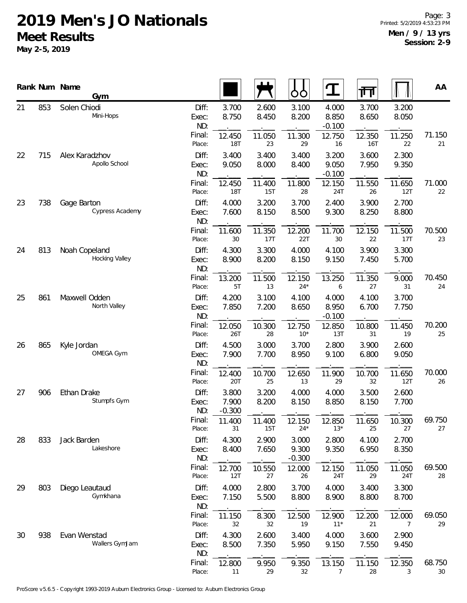|    |     | Rank Num Name<br>Gym            |                       |                            |                | OO                         | ${\bf T}$                  | 帀              |                | AA           |
|----|-----|---------------------------------|-----------------------|----------------------------|----------------|----------------------------|----------------------------|----------------|----------------|--------------|
| 21 | 853 | Solen Chiodi<br>Mini-Hops       | Diff:<br>Exec:<br>ND: | 3.700<br>8.750             | 2.600<br>8.450 | 3.100<br>8.200             | 4.000<br>8.850<br>$-0.100$ | 3.700<br>8.650 | 3.200<br>8.050 |              |
|    |     |                                 | Final:<br>Place:      | 12.450<br>18T              | 11.050<br>23   | 11.300<br>29               | 12.750<br>16               | 12.350<br>16T  | 11.250<br>22   | 71.150<br>21 |
| 22 | 715 | Alex Karadzhov<br>Apollo School | Diff:<br>Exec:<br>ND: | 3.400<br>9.050             | 3.400<br>8.000 | 3.400<br>8.400             | 3.200<br>9.050<br>$-0.100$ | 3.600<br>7.950 | 2.300<br>9.350 |              |
|    |     |                                 | Final:<br>Place:      | 12.450<br><b>18T</b>       | 11.400<br>15T  | 11.800<br>28               | 12.150<br>24T              | 11.550<br>26   | 11.650<br>12T  | 71.000<br>22 |
| 23 | 738 | Gage Barton<br>Cypress Academy  | Diff:<br>Exec:<br>ND: | 4.000<br>7.600             | 3.200<br>8.150 | 3.700<br>8.500             | 2.400<br>9.300             | 3.900<br>8.250 | 2.700<br>8.800 |              |
|    |     |                                 | Final:<br>Place:      | 11.600<br>30               | 11.350<br>17T  | 12.200<br>22T              | 11.700<br>30               | 12.150<br>22   | 11.500<br>17T  | 70.500<br>23 |
| 24 | 813 | Noah Copeland<br>Hocking Valley | Diff:<br>Exec:<br>ND: | 4.300<br>8.900             | 3.300<br>8.200 | 4.000<br>8.150             | 4.100<br>9.150             | 3.900<br>7.450 | 3.300<br>5.700 |              |
|    |     |                                 | Final:<br>Place:      | 13.200<br>5T               | 11.500<br>13   | 12.150<br>$24*$            | 13.250<br>6                | 11.350<br>27   | 9.000<br>31    | 70.450<br>24 |
| 25 | 861 | Maxwell Odden<br>North Valley   | Diff:<br>Exec:<br>ND: | 4.200<br>7.850             | 3.100<br>7.200 | 4.100<br>8.650             | 4.000<br>8.950<br>$-0.100$ | 4.100<br>6.700 | 3.700<br>7.750 |              |
|    |     |                                 | Final:<br>Place:      | 12.050<br>26T              | 10.300<br>28   | 12.750<br>$10*$            | 12.850<br>13T              | 10.800<br>31   | 11.450<br>19   | 70.200<br>25 |
| 26 | 865 | Kyle Jordan<br>OMEGA Gym        | Diff:<br>Exec:<br>ND: | 4.500<br>7.900             | 3.000<br>7.700 | 3.700<br>8.950             | 2.800<br>9.100             | 3.900<br>6.800 | 2.600<br>9.050 |              |
|    |     |                                 | Final:<br>Place:      | 12.400<br>20T              | 10.700<br>25   | 12.650<br>13               | 11.900<br>29               | 10.700<br>32   | 11.650<br>12T  | 70.000<br>26 |
| 27 | 906 | Ethan Drake<br>Stumpfs Gym      | Diff:<br>Exec:<br>ND: | 3.800<br>7.900<br>$-0.300$ | 3.200<br>8.200 | 4.000<br>8.150             | 4.000<br>8.850             | 3.500<br>8.150 | 2.600<br>7.700 |              |
|    |     |                                 | Final:<br>Place:      | 11.400<br>31               | 11.400<br>15T  | 12.150<br>$24*$            | 12.850<br>$13*$            | 11.650<br>25   | 10.300<br>27   | 69.750<br>27 |
| 28 | 833 | Jack Barden<br>Lakeshore        | Diff:<br>Exec:<br>ND: | 4.300<br>8.400             | 2.900<br>7.650 | 3.000<br>9.300<br>$-0.300$ | 2.800<br>9.350             | 4.100<br>6.950 | 2.700<br>8.350 |              |
|    |     |                                 | Final:<br>Place:      | 12.700<br>12T              | 10.550<br>27   | 12.000<br>26               | 12.150<br>24T              | 11.050<br>29   | 11.050<br>24T  | 69.500<br>28 |
| 29 | 803 | Diego Leautaud<br>Gymkhana      | Diff:<br>Exec:<br>ND: | 4.000<br>7.150             | 2.800<br>5.500 | 3.700<br>8.800             | 4.000<br>8.900             | 3.400<br>8.800 | 3.300<br>8.700 |              |
|    |     |                                 | Final:<br>Place:      | 11.150<br>32               | 8.300<br>32    | 12.500<br>19               | 12.900<br>$11*$            | 12.200<br>21   | 12.000<br>7    | 69.050<br>29 |
| 30 | 938 | Evan Wenstad<br>Wallers GymJam  | Diff:<br>Exec:<br>ND: | 4.300<br>8.500             | 2.600<br>7.350 | 3.400<br>5.950             | 4.000<br>9.150             | 3.600<br>7.550 | 2.900<br>9.450 |              |
|    |     |                                 | Final:<br>Place:      | 12.800<br>11               | 9.950<br>29    | 9.350<br>32                | 13.150<br>$\overline{7}$   | 11.150<br>28   | 12.350<br>3    | 68.750<br>30 |